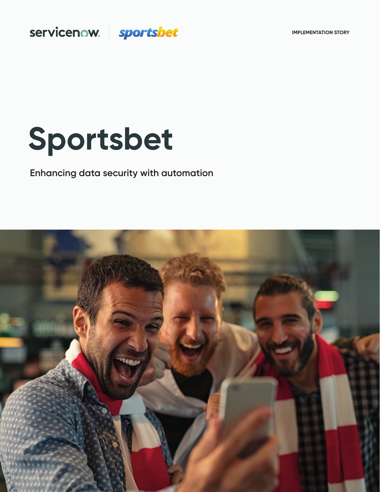**IMPLEMENTATION STORY**

# servicenow. sportsbet

# **Sportsbet**

# **Enhancing data security with automation**

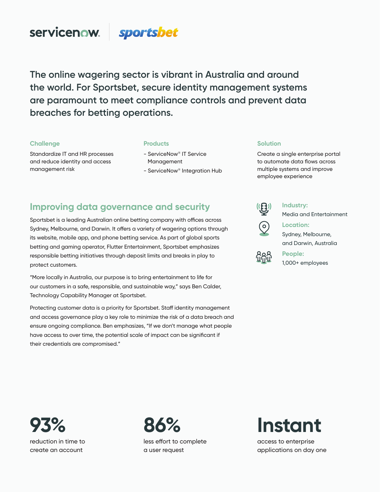### **servicenow.** sportsbet

**The online wagering sector is vibrant in Australia and around the world. For Sportsbet, secure identity management systems are paramount to meet compliance controls and prevent data breaches for betting operations.** 

### **Challenge**

Standardize IT and HR processes and reduce identity and access management risk

#### **Products**

- ServiceNow® IT Service Management
- ServiceNow® Integration Hub

### **Solution**

Create a single enterprise portal to automate data flows across multiple systems and improve employee experience

### **Improving data governance and security**

Sportsbet is a leading Australian online betting company with offices across Sydney, Melbourne, and Darwin. It offers a variety of wagering options through its website, mobile app, and phone betting service. As part of global sports betting and gaming operator, Flutter Entertainment, Sportsbet emphasizes responsible betting initiatives through deposit limits and breaks in play to protect customers.

"More locally in Australia, our purpose is to bring entertainment to life for our customers in a safe, responsible, and sustainable way," says Ben Calder, Technology Capability Manager at Sportsbet.

Protecting customer data is a priority for Sportsbet. Staff identity management and access governance play a key role to minimize the risk of a data breach and ensure ongoing compliance. Ben emphasizes, "If we don't manage what people have access to over time, the potential scale of impact can be significant if their credentials are compromised."



**Industry:**

**People:** 

Media and Entertainment



**Location:**  Sydney, Melbourne, and Darwin, Australia



1,000+ employees

**93%**  reduction in time to create an account



less effort to complete a user request

# **Instant**

access to enterprise applications on day one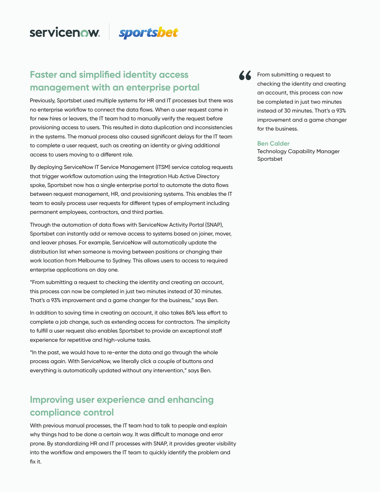# servicenow.

### **Faster and simplified identity access management with an enterprise portal**

Previously, Sportsbet used multiple systems for HR and IT processes but there was no enterprise workflow to connect the data flows. When a user request came in for new hires or leavers, the IT team had to manually verify the request before provisioning access to users. This resulted in data duplication and inconsistencies in the systems. The manual process also caused significant delays for the IT team to complete a user request, such as creating an identity or giving additional access to users moving to a different role.

sportsbet

By deploying ServiceNow IT Service Management (ITSM) service catalog requests that trigger workflow automation using the Integration Hub Active Directory spoke, Sportsbet now has a single enterprise portal to automate the data flows between request management, HR, and provisioning systems. This enables the IT team to easily process user requests for different types of employment including permanent employees, contractors, and third parties.

Through the automation of data flows with ServiceNow Activity Portal (SNAP), Sportsbet can instantly add or remove access to systems based on joiner, mover, and leaver phases. For example, ServiceNow will automatically update the distribution list when someone is moving between positions or changing their work location from Melbourne to Sydney. This allows users to access to required enterprise applications on day one.

"From submitting a request to checking the identity and creating an account, this process can now be completed in just two minutes instead of 30 minutes. That's a 93% improvement and a game changer for the business," says Ben.

In addition to saving time in creating an account, it also takes 86% less effort to complete a job change, such as extending access for contractors. The simplicity to fulfill a user request also enables Sportsbet to provide an exceptional staff experience for repetitive and high-volume tasks.

"In the past, we would have to re-enter the data and go through the whole process again. With ServiceNow, we literally click a couple of buttons and everything is automatically updated without any intervention," says Ben.

## **Improving user experience and enhancing compliance control**

With previous manual processes, the IT team had to talk to people and explain why things had to be done a certain way. It was difficult to manage and error prone. By standardizing HR and IT processes with SNAP, it provides greater visibility into the workflow and empowers the IT team to quickly identify the problem and fix it.

From submitting a request to checking the identity and creating an account, this process can now be completed in just two minutes instead of 30 minutes. That's a 93% improvement and a game changer for the business.

### **Ben Calder**

Technology Capability Manager Sportsbet